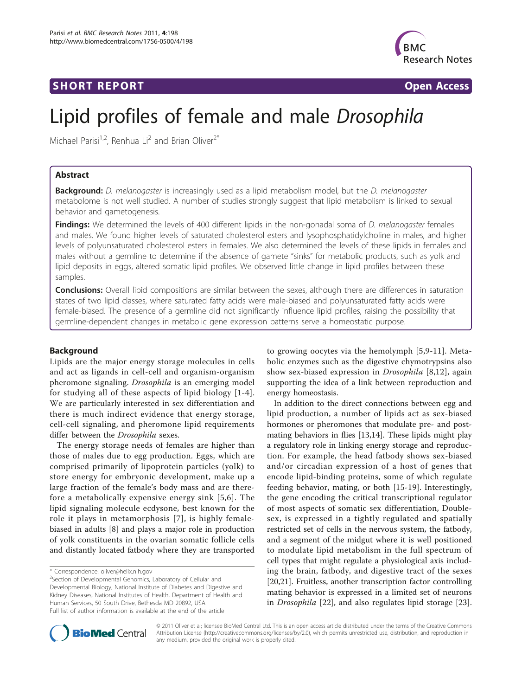## **SHORT REPORT SHORT CONSUMING THE CONSUMING THE CONSUMING THE CONSUMING THE CONSUMING THE CONSUMING THE CONSUMING THE CONSUMING THE CONSUMING THE CONSUMING THE CONSUMING THE CONSUMING THE CONSUMING THE CONSUMING THE CO**



# Lipid profiles of female and male Drosophila

Michael Parisi<sup>1,2</sup>, Renhua Li<sup>2</sup> and Brian Oliver<sup>2\*</sup>

## Abstract

Background: D. melanogaster is increasingly used as a lipid metabolism model, but the D. melanogaster metabolome is not well studied. A number of studies strongly suggest that lipid metabolism is linked to sexual behavior and gametogenesis.

**Findings:** We determined the levels of 400 different lipids in the non-gonadal soma of *D. melanogaster* females and males. We found higher levels of saturated cholesterol esters and lysophosphatidylcholine in males, and higher levels of polyunsaturated cholesterol esters in females. We also determined the levels of these lipids in females and males without a germline to determine if the absence of gamete "sinks" for metabolic products, such as yolk and lipid deposits in eggs, altered somatic lipid profiles. We observed little change in lipid profiles between these samples.

**Conclusions:** Overall lipid compositions are similar between the sexes, although there are differences in saturation states of two lipid classes, where saturated fatty acids were male-biased and polyunsaturated fatty acids were female-biased. The presence of a germline did not significantly influence lipid profiles, raising the possibility that germline-dependent changes in metabolic gene expression patterns serve a homeostatic purpose.

## Background

Lipids are the major energy storage molecules in cells and act as ligands in cell-cell and organism-organism pheromone signaling. Drosophila is an emerging model for studying all of these aspects of lipid biology [[1](#page-4-0)-[4](#page-4-0)]. We are particularly interested in sex differentiation and there is much indirect evidence that energy storage, cell-cell signaling, and pheromone lipid requirements differ between the Drosophila sexes.

The energy storage needs of females are higher than those of males due to egg production. Eggs, which are comprised primarily of lipoprotein particles (yolk) to store energy for embryonic development, make up a large fraction of the female's body mass and are therefore a metabolically expensive energy sink [[5](#page-4-0),[6](#page-4-0)]. The lipid signaling molecule ecdysone, best known for the role it plays in metamorphosis [[7\]](#page-4-0), is highly femalebiased in adults [\[8](#page-4-0)] and plays a major role in production of yolk constituents in the ovarian somatic follicle cells and distantly located fatbody where they are transported

to growing oocytes via the hemolymph [[5,9-11](#page-4-0)]. Metabolic enzymes such as the digestive chymotrypsins also show sex-biased expression in Drosophila [[8,12](#page-4-0)], again supporting the idea of a link between reproduction and energy homeostasis.

In addition to the direct connections between egg and lipid production, a number of lipids act as sex-biased hormones or pheromones that modulate pre- and postmating behaviors in flies [\[13,14\]](#page-4-0). These lipids might play a regulatory role in linking energy storage and reproduction. For example, the head fatbody shows sex-biased and/or circadian expression of a host of genes that encode lipid-binding proteins, some of which regulate feeding behavior, mating, or both [[15-](#page-4-0)[19\]](#page-5-0). Interestingly, the gene encoding the critical transcriptional regulator of most aspects of somatic sex differentiation, Doublesex, is expressed in a tightly regulated and spatially restricted set of cells in the nervous system, the fatbody, and a segment of the midgut where it is well positioned to modulate lipid metabolism in the full spectrum of cell types that might regulate a physiological axis including the brain, fatbody, and digestive tract of the sexes [[20,21\]](#page-5-0). Fruitless, another transcription factor controlling mating behavior is expressed in a limited set of neurons in Drosophila [[22\]](#page-5-0), and also regulates lipid storage [\[23](#page-5-0)].



© 2011 Oliver et al; licensee BioMed Central Ltd. This is an open access article distributed under the terms of the Creative Commons Attribution License [\(http://creativecommons.org/licenses/by/2.0](http://creativecommons.org/licenses/by/2.0)), which permits unrestricted use, distribution, and reproduction in any medium, provided the original work is properly cited.

<sup>\*</sup> Correspondence: [oliver@helix.nih.gov](mailto:oliver@helix.nih.gov)

<sup>&</sup>lt;sup>2</sup>Section of Developmental Genomics, Laboratory of Cellular and Developmental Biology, National Institute of Diabetes and Digestive and Kidney Diseases, National Institutes of Health, Department of Health and Human Services, 50 South Drive, Bethesda MD 20892, USA Full list of author information is available at the end of the article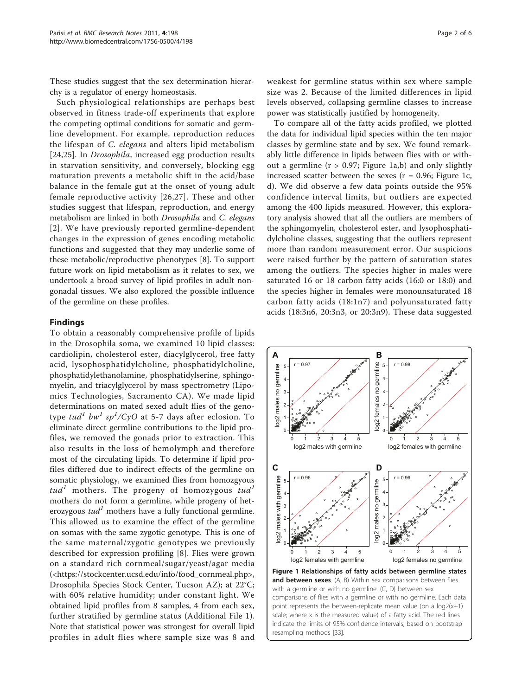These studies suggest that the sex determination hierarchy is a regulator of energy homeostasis.

Such physiological relationships are perhaps best observed in fitness trade-off experiments that explore the competing optimal conditions for somatic and germline development. For example, reproduction reduces the lifespan of C. elegans and alters lipid metabolism [[24,25](#page-5-0)]. In Drosophila, increased egg production results in starvation sensitivity, and conversely, blocking egg maturation prevents a metabolic shift in the acid/base balance in the female gut at the onset of young adult female reproductive activity [[26](#page-5-0),[27](#page-5-0)]. These and other studies suggest that lifespan, reproduction, and energy metabolism are linked in both Drosophila and C. elegans [[2](#page-4-0)]. We have previously reported germline-dependent changes in the expression of genes encoding metabolic functions and suggested that they may underlie some of these metabolic/reproductive phenotypes [\[8\]](#page-4-0). To support future work on lipid metabolism as it relates to sex, we undertook a broad survey of lipid profiles in adult nongonadal tissues. We also explored the possible influence of the germline on these profiles.

## Findings

To obtain a reasonably comprehensive profile of lipids in the Drosophila soma, we examined 10 lipid classes: cardiolipin, cholesterol ester, diacylglycerol, free fatty acid, lysophosphatidylcholine, phosphatidylcholine, phosphatidylethanolamine, phosphatidylserine, sphingomyelin, and triacylglycerol by mass spectrometry (Lipomics Technologies, Sacramento CA). We made lipid determinations on mated sexed adult flies of the genotype  $\tau u d^1$  bw<sup>1</sup> sp<sup>1</sup>/CyO at 5-7 days after eclosion. To eliminate direct germline contributions to the lipid profiles, we removed the gonads prior to extraction. This also results in the loss of hemolymph and therefore most of the circulating lipids. To determine if lipid profiles differed due to indirect effects of the germline on somatic physiology, we examined flies from homozgyous tud<sup>1</sup> mothers. The progeny of homozygous tud<sup>1</sup> mothers do not form a germline, while progeny of heterozygous  $tud<sup>1</sup>$  mothers have a fully functional germline. This allowed us to examine the effect of the germline on somas with the same zygotic genotype. This is one of the same maternal/zygotic genotypes we previously described for expression profiling [[8](#page-4-0)]. Flies were grown on a standard rich cornmeal/sugar/yeast/agar media ([<https://stockcenter.ucsd.edu/info/food\\_cornmeal.php>](https://stockcenter.ucsd.edu/info/food_cornmeal.php), Drosophila Species Stock Center, Tucson AZ); at 22°C; with 60% relative humidity; under constant light. We obtained lipid profiles from 8 samples, 4 from each sex, further stratified by germline status (Additional File [1](#page-4-0)). Note that statistical power was strongest for overall lipid profiles in adult flies where sample size was 8 and

weakest for germline status within sex where sample size was 2. Because of the limited differences in lipid levels observed, collapsing germline classes to increase power was statistically justified by homogeneity.

To compare all of the fatty acids profiled, we plotted the data for individual lipid species within the ten major classes by germline state and by sex. We found remarkably little difference in lipids between flies with or without a germline ( $r > 0.97$ ; Figure 1a,b) and only slightly increased scatter between the sexes ( $r = 0.96$ ; Figure 1c, d). We did observe a few data points outside the 95% confidence interval limits, but outliers are expected among the 400 lipids measured. However, this exploratory analysis showed that all the outliers are members of the sphingomyelin, cholesterol ester, and lysophosphatidylcholine classes, suggesting that the outliers represent more than random measurement error. Our suspicions were raised further by the pattern of saturation states among the outliers. The species higher in males were saturated 16 or 18 carbon fatty acids (16:0 or 18:0) and the species higher in females were monounsaturated 18 carbon fatty acids (18:1n7) and polyunsaturated fatty acids (18:3n6, 20:3n3, or 20:3n9). These data suggested

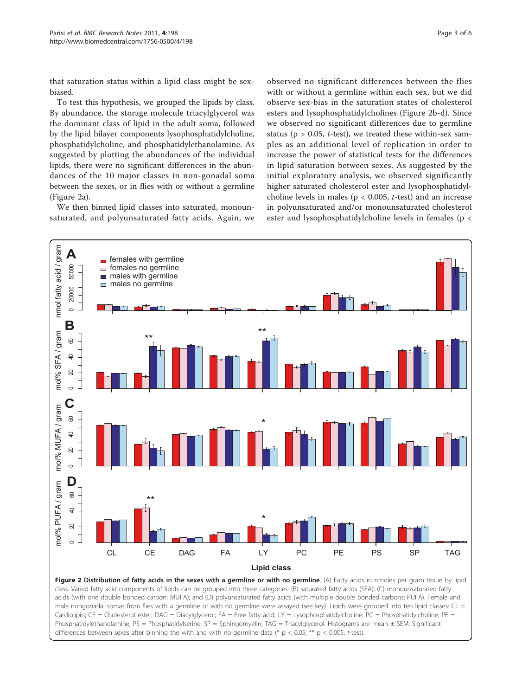that saturation status within a lipid class might be sexbiased.

To test this hypothesis, we grouped the lipids by class. By abundance, the storage molecule triacylglycerol was the dominant class of lipid in the adult soma, followed by the lipid bilayer components lysophosphatidylcholine, phosphatidylcholine, and phosphatidylethanolamine. As suggested by plotting the abundances of the individual lipids, there were no significant differences in the abundances of the 10 major classes in non-gonadal soma between the sexes, or in flies with or without a germline (Figure 2a).

We then binned lipid classes into saturated, monounsaturated, and polyunsaturated fatty acids. Again, we

observed no significant differences between the flies with or without a germline within each sex, but we did observe sex-bias in the saturation states of cholesterol esters and lysophosphatidylcholines (Figure 2b-d). Since we observed no significant differences due to germline status ( $p > 0.05$ , *t*-test), we treated these within-sex samples as an additional level of replication in order to increase the power of statistical tests for the differences in lipid saturation between sexes. As suggested by the initial exploratory analysis, we observed significantly higher saturated cholesterol ester and lysophosphatidylcholine levels in males ( $p < 0.005$ ,  $t$ -test) and an increase in polyunsaturated and/or monounsaturated cholesterol ester and lysophosphatidylcholine levels in females (p <



acids (with one double bonded carbon; MUFA); and (D) polyunsaturated fatty acids (with multiple double bonded carbons; PUFA). Female and male nongonadal somas from flies with a germline or with no germline were assayed (see key). Lipids were grouped into ten lipid classes: CL = Cardiolipin; CE = Cholesterol ester; DAG = Diacylglycerol; FA = Free fatty acid; LY = Lysophosphatidylcholine; PC = Phosphatidylcholine; PE = Phosphatidylethanolamine; PS = Phosphatidylserine; SP = Sphingomyelin; TAG = Triacylglycerol. Histograms are mean ± SEM. Significant differences between sexes after binning the with and with no germline data (\*  $p < 0.05$ ; \*\*  $p < 0.005$ , t-test).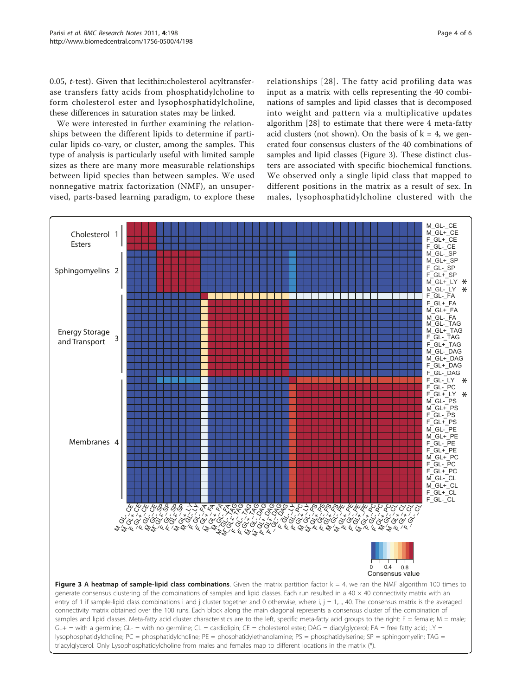0.05, t-test). Given that lecithin:cholesterol acyltransferase transfers fatty acids from phosphatidylcholine to form cholesterol ester and lysophosphatidylcholine, these differences in saturation states may be linked.

We were interested in further examining the relationships between the different lipids to determine if particular lipids co-vary, or cluster, among the samples. This type of analysis is particularly useful with limited sample sizes as there are many more measurable relationships between lipid species than between samples. We used nonnegative matrix factorization (NMF), an unsupervised, parts-based learning paradigm, to explore these relationships [[28](#page-5-0)]. The fatty acid profiling data was input as a matrix with cells representing the 40 combinations of samples and lipid classes that is decomposed into weight and pattern via a multiplicative updates algorithm [\[28](#page-5-0)] to estimate that there were 4 meta-fatty acid clusters (not shown). On the basis of  $k = 4$ , we generated four consensus clusters of the 40 combinations of samples and lipid classes (Figure 3). These distinct clusters are associated with specific biochemical functions. We observed only a single lipid class that mapped to different positions in the matrix as a result of sex. In males, lysophosphatidylcholine clustered with the

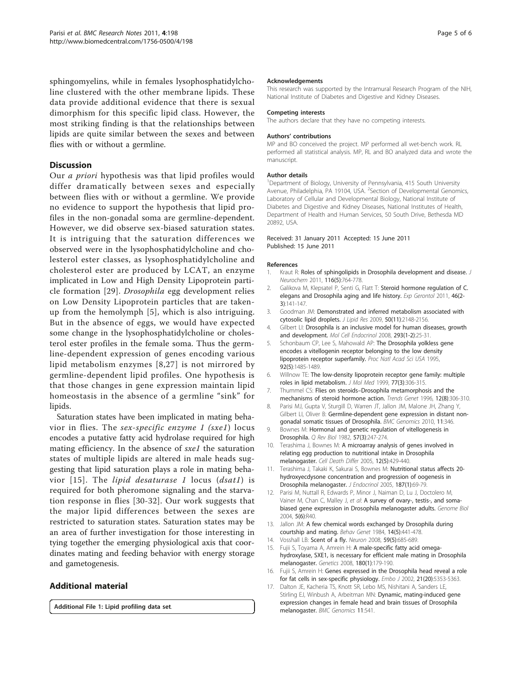<span id="page-4-0"></span>sphingomyelins, while in females lysophosphatidylcholine clustered with the other membrane lipids. These data provide additional evidence that there is sexual dimorphism for this specific lipid class. However, the most striking finding is that the relationships between lipids are quite similar between the sexes and between flies with or without a germline.

## **Discussion**

Our a priori hypothesis was that lipid profiles would differ dramatically between sexes and especially between flies with or without a germline. We provide no evidence to support the hypothesis that lipid profiles in the non-gonadal soma are germline-dependent. However, we did observe sex-biased saturation states. It is intriguing that the saturation differences we observed were in the lysophosphatidylcholine and cholesterol ester classes, as lysophosphatidylcholine and cholesterol ester are produced by LCAT, an enzyme implicated in Low and High Density Lipoprotein particle formation [[29\]](#page-5-0). Drosophila egg development relies on Low Density Lipoprotein particles that are takenup from the hemolymph [5], which is also intriguing. But in the absence of eggs, we would have expected some change in the lysophosphatidylcholine or cholesterol ester profiles in the female soma. Thus the germline-dependent expression of genes encoding various lipid metabolism enzymes [8,[27\]](#page-5-0) is not mirrored by germline-dependent lipid profiles. One hypothesis is that those changes in gene expression maintain lipid homeostasis in the absence of a germline "sink" for lipids.

Saturation states have been implicated in mating behavior in flies. The sex-specific enzyme 1 (sxe1) locus encodes a putative fatty acid hydrolase required for high mating efficiency. In the absence of sxe1 the saturation states of multiple lipids are altered in male heads suggesting that lipid saturation plays a role in mating behavior  $[15]$ . The *lipid desaturase 1* locus  $(dsat1)$  is required for both pheromone signaling and the starvation response in flies [[30](#page-5-0)-[32](#page-5-0)]. Our work suggests that the major lipid differences between the sexes are restricted to saturation states. Saturation states may be an area of further investigation for those interesting in tying together the emerging physiological axis that coordinates mating and feeding behavior with energy storage and gametogenesis.

## Additional material

[Additional File 1:](http://www.biomedcentral.com/content/supplementary/1756-0500-4-198-S1.XLS) Lipid profiling data set.

#### Acknowledgements

This research was supported by the Intramural Research Program of the NIH, National Institute of Diabetes and Digestive and Kidney Diseases.

#### Competing interests

The authors declare that they have no competing interests.

#### Authors' contributions

MP and BO conceived the project. MP performed all wet-bench work. RL performed all statistical analysis. MP, RL and BO analyzed data and wrote the manuscript.

#### Author details

<sup>1</sup>Department of Biology, University of Pennsylvania, 415 South University Avenue, Philadelphia, PA 19104, USA. <sup>2</sup>Section of Developmental Genomics, Laboratory of Cellular and Developmental Biology, National Institute of Diabetes and Digestive and Kidney Diseases, National Institutes of Health, Department of Health and Human Services, 50 South Drive, Bethesda MD 20892, USA.

#### Received: 31 January 2011 Accepted: 15 June 2011 Published: 15 June 2011

#### References

- Kraut R: [Roles of sphingolipids in Drosophila development and disease.](http://www.ncbi.nlm.nih.gov/pubmed/21214556?dopt=Abstract) J Neurochem 2011, 116(5):764-778.
- 2. Galikova M, Klepsatel P, Senti G, Flatt T: [Steroid hormone regulation of C.](http://www.ncbi.nlm.nih.gov/pubmed/20854888?dopt=Abstract) [elegans and Drosophila aging and life history.](http://www.ncbi.nlm.nih.gov/pubmed/20854888?dopt=Abstract) Exp Gerontol 2011, 46(2- 3):141-147.
- 3. Goodman JM: [Demonstrated and inferred metabolism associated with](http://www.ncbi.nlm.nih.gov/pubmed/19696439?dopt=Abstract) [cytosolic lipid droplets.](http://www.ncbi.nlm.nih.gov/pubmed/19696439?dopt=Abstract) J Lipid Res 2009, 50(11):2148-2156
- 4. Gilbert LI: [Drosophila is an inclusive model for human diseases, growth](http://www.ncbi.nlm.nih.gov/pubmed/18374475?dopt=Abstract) [and development.](http://www.ncbi.nlm.nih.gov/pubmed/18374475?dopt=Abstract) Mol Cell Endocrinol 2008, 293(1-2):25-31.
- 5. Schonbaum CP, Lee S, Mahowald AP: [The Drosophila yolkless gene](http://www.ncbi.nlm.nih.gov/pubmed/7878005?dopt=Abstract) [encodes a vitellogenin receptor belonging to the low density](http://www.ncbi.nlm.nih.gov/pubmed/7878005?dopt=Abstract) [lipoprotein receptor superfamily.](http://www.ncbi.nlm.nih.gov/pubmed/7878005?dopt=Abstract) Proc Natl Acad Sci USA 1995, 92(5):1485-1489.
- 6. Willnow TE: [The low-density lipoprotein receptor gene family: multiple](http://www.ncbi.nlm.nih.gov/pubmed/10090593?dopt=Abstract) [roles in lipid metabolism.](http://www.ncbi.nlm.nih.gov/pubmed/10090593?dopt=Abstract) J Mol Med 1999, 77(3):306-315.
- 7. Thummel CS: Flies on steroids–[Drosophila metamorphosis and the](http://www.ncbi.nlm.nih.gov/pubmed/8783940?dopt=Abstract) [mechanisms of steroid hormone action.](http://www.ncbi.nlm.nih.gov/pubmed/8783940?dopt=Abstract) Trends Genet 1996, 12(8):306-310.
- 8. Parisi MJ, Gupta V, Sturgill D, Warren JT, Jallon JM, Malone JH, Zhang Y, Gilbert LI, Oliver B: [Germline-dependent gene expression in distant non](http://www.ncbi.nlm.nih.gov/pubmed/20515475?dopt=Abstract)[gonadal somatic tissues of Drosophila.](http://www.ncbi.nlm.nih.gov/pubmed/20515475?dopt=Abstract) BMC Genomics 2010, 11:346.
- 9. Bownes M: [Hormonal and genetic regulation of vitellogenesis in](http://www.ncbi.nlm.nih.gov/pubmed/6815707?dopt=Abstract) [Drosophila.](http://www.ncbi.nlm.nih.gov/pubmed/6815707?dopt=Abstract) Q Rev Biol 1982, 57(3):247-274.
- 10. Terashima J, Bownes M: [A microarray analysis of genes involved in](http://www.ncbi.nlm.nih.gov/pubmed/15776001?dopt=Abstract) [relating egg production to nutritional intake in Drosophila](http://www.ncbi.nlm.nih.gov/pubmed/15776001?dopt=Abstract) [melanogaster.](http://www.ncbi.nlm.nih.gov/pubmed/15776001?dopt=Abstract) Cell Death Differ 2005, 12(5):429-440.
- 11. Terashima J, Takaki K, Sakurai S, Bownes M: [Nutritional status affects 20](http://www.ncbi.nlm.nih.gov/pubmed/16214942?dopt=Abstract) [hydroxyecdysone concentration and progression of oogenesis in](http://www.ncbi.nlm.nih.gov/pubmed/16214942?dopt=Abstract) [Drosophila melanogaster.](http://www.ncbi.nlm.nih.gov/pubmed/16214942?dopt=Abstract) J Endocrinol 2005, 187(1):69-79.
- 12. Parisi M, Nuttall R, Edwards P, Minor J, Naiman D, Lu J, Doctolero M, Vainer M, Chan C, Malley J, et al: [A survey of ovary-, testis-, and soma](http://www.ncbi.nlm.nih.gov/pubmed/15186491?dopt=Abstract)[biased gene expression in Drosophila melanogaster adults.](http://www.ncbi.nlm.nih.gov/pubmed/15186491?dopt=Abstract) Genome Biol 2004, 5(6):R40.
- 13. Jallon JM: [A few chemical words exchanged by Drosophila during](http://www.ncbi.nlm.nih.gov/pubmed/6441563?dopt=Abstract) [courtship and mating.](http://www.ncbi.nlm.nih.gov/pubmed/6441563?dopt=Abstract) Behav Genet 1984, 14(5):441-478.
- 14. Vosshall LB: [Scent of a fly.](http://www.ncbi.nlm.nih.gov/pubmed/18786353?dopt=Abstract) Neuron 2008, 59(5):685-689.
- 15. Fujii S, Toyama A, Amrein H: [A male-specific fatty acid omega](http://www.ncbi.nlm.nih.gov/pubmed/18716335?dopt=Abstract)[hydroxylase, SXE1, is necessary for efficient male mating in Drosophila](http://www.ncbi.nlm.nih.gov/pubmed/18716335?dopt=Abstract) [melanogaster.](http://www.ncbi.nlm.nih.gov/pubmed/18716335?dopt=Abstract) Genetics 2008, 180(1):179-190.
- 16. Fujii S, Amrein H: [Genes expressed in the Drosophila head reveal a role](http://www.ncbi.nlm.nih.gov/pubmed/12374736?dopt=Abstract) [for fat cells in sex-specific physiology.](http://www.ncbi.nlm.nih.gov/pubmed/12374736?dopt=Abstract) Embo J 2002, 21(20):5353-5363
- 17. Dalton JE, Kacheria TS, Knott SR, Lebo MS, Nishitani A, Sanders LE, Stirling EJ, Winbush A, Arbeitman MN: Dynamic, mating-induced gene expression changes in female head and brain tissues of Drosophila melanogaster. BMC Genomics 11:541.